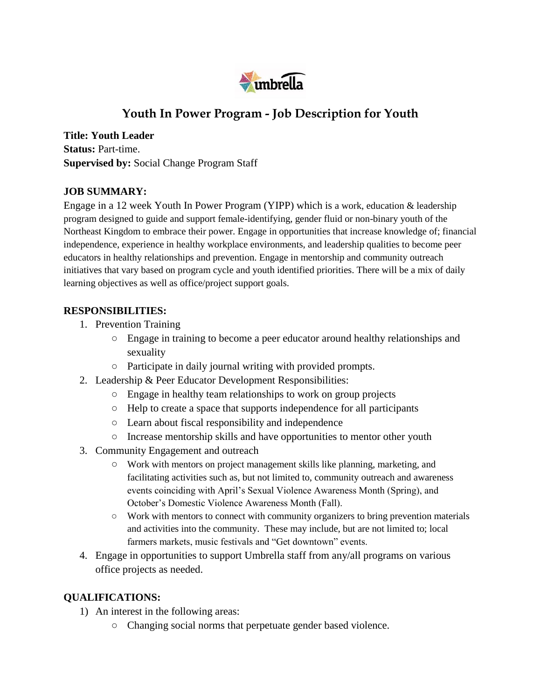

# **Youth In Power Program - Job Description for Youth**

**Title: Youth Leader Status:** Part-time. **Supervised by:** Social Change Program Staff

#### **JOB SUMMARY:**

Engage in a 12 week Youth In Power Program (YIPP) which is a work, education & leadership program designed to guide and support female-identifying, gender fluid or non-binary youth of the Northeast Kingdom to embrace their power. Engage in opportunities that increase knowledge of; financial independence, experience in healthy workplace environments, and leadership qualities to become peer educators in healthy relationships and prevention. Engage in mentorship and community outreach initiatives that vary based on program cycle and youth identified priorities. There will be a mix of daily learning objectives as well as office/project support goals.

#### **RESPONSIBILITIES:**

- 1. Prevention Training
	- Engage in training to become a peer educator around healthy relationships and sexuality
	- Participate in daily journal writing with provided prompts.
- 2. Leadership & Peer Educator Development Responsibilities:
	- Engage in healthy team relationships to work on group projects
	- Help to create a space that supports independence for all participants
	- Learn about fiscal responsibility and independence
	- Increase mentorship skills and have opportunities to mentor other youth
- 3. Community Engagement and outreach
	- Work with mentors on project management skills like planning, marketing, and facilitating activities such as, but not limited to, community outreach and awareness events coinciding with April's Sexual Violence Awareness Month (Spring), and October's Domestic Violence Awareness Month (Fall).
	- Work with mentors to connect with community organizers to bring prevention materials and activities into the community.These may include, but are not limited to; local farmers markets, music festivals and "Get downtown" events.
- 4. Engage in opportunities to support Umbrella staff from any/all programs on various office projects as needed.

### **QUALIFICATIONS:**

- 1) An interest in the following areas:
	- Changing social norms that perpetuate gender based violence.